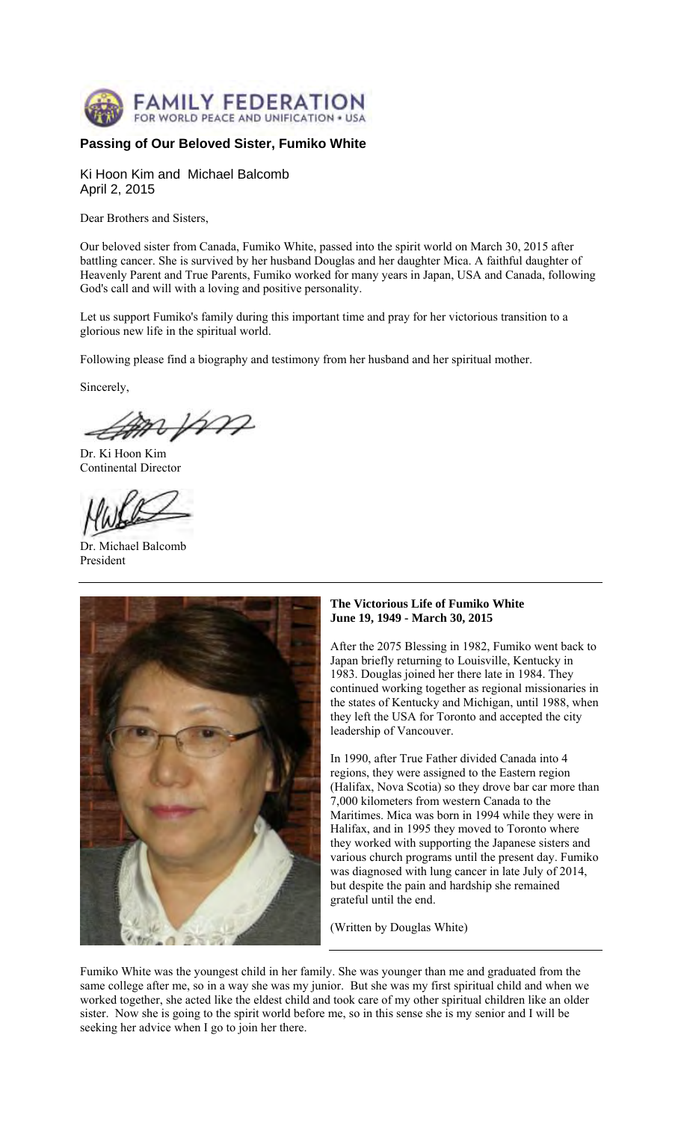

# **Passing of Our Beloved Sister, Fumiko White**

Ki Hoon Kim and Michael Balcomb April 2, 2015

Dear Brothers and Sisters,

Our beloved sister from Canada, Fumiko White, passed into the spirit world on March 30, 2015 after battling cancer. She is survived by her husband Douglas and her daughter Mica. A faithful daughter of Heavenly Parent and True Parents, Fumiko worked for many years in Japan, USA and Canada, following God's call and will with a loving and positive personality.

Let us support Fumiko's family during this important time and pray for her victorious transition to a glorious new life in the spiritual world.

Following please find a biography and testimony from her husband and her spiritual mother.

Sincerely,

spm

Dr. Ki Hoon Kim Continental Director

Dr. Michael Balcomb President



## **The Victorious Life of Fumiko White June 19, 1949 - March 30, 2015**

After the 2075 Blessing in 1982, Fumiko went back to Japan briefly returning to Louisville, Kentucky in 1983. Douglas joined her there late in 1984. They continued working together as regional missionaries in the states of Kentucky and Michigan, until 1988, when they left the USA for Toronto and accepted the city leadership of Vancouver.

In 1990, after True Father divided Canada into 4 regions, they were assigned to the Eastern region (Halifax, Nova Scotia) so they drove bar car more than 7,000 kilometers from western Canada to the Maritimes. Mica was born in 1994 while they were in Halifax, and in 1995 they moved to Toronto where they worked with supporting the Japanese sisters and various church programs until the present day. Fumiko was diagnosed with lung cancer in late July of 2014, but despite the pain and hardship she remained grateful until the end.

(Written by Douglas White)

Fumiko White was the youngest child in her family. She was younger than me and graduated from the same college after me, so in a way she was my junior. But she was my first spiritual child and when we worked together, she acted like the eldest child and took care of my other spiritual children like an older sister. Now she is going to the spirit world before me, so in this sense she is my senior and I will be seeking her advice when I go to join her there.